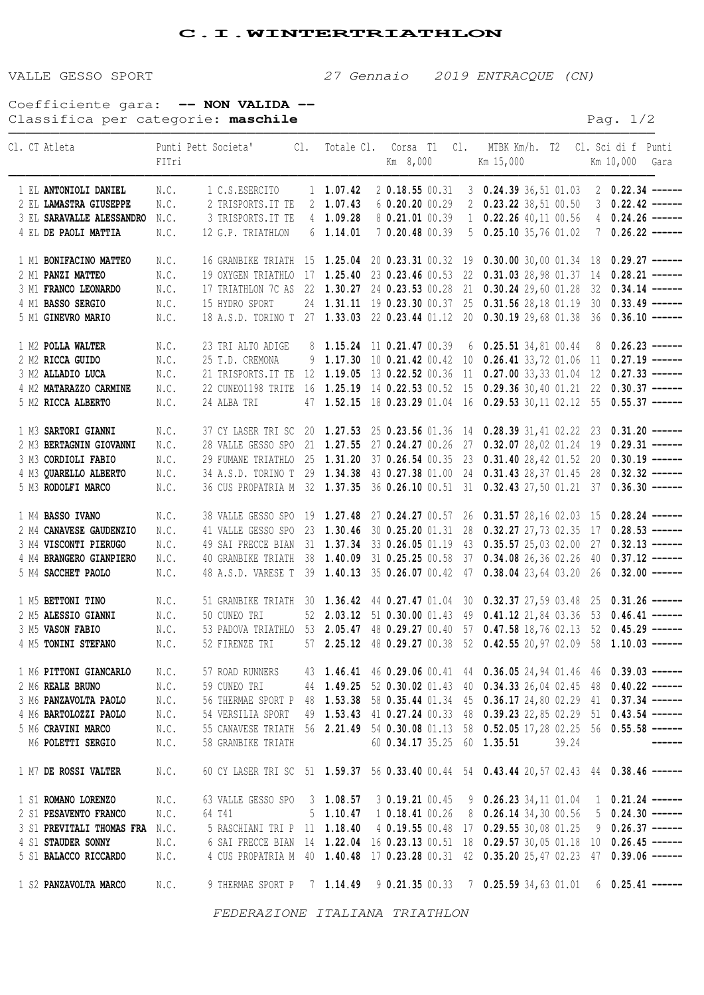## **C.I.WINTERTRIATHLON**

VALLE GESSO SPORT 27 Gennaio 2019 ENTRACQUE (CN)

Coefficiente gara: **-- NON VALIDA --** Classifica per categorie: maschile **Pag.** 1/2

|                                | Cl. CT Atleta                  | FITri | Punti Pett Societa' Cl. Totale Cl. Corsa T1 Cl. MTBK Km/h. T2 Cl. Sci di f Punti            |  |                            | Km 8,000          |  |  | Km 15,000                                                                              |  | Km 10,000 Gara                   |
|--------------------------------|--------------------------------|-------|---------------------------------------------------------------------------------------------|--|----------------------------|-------------------|--|--|----------------------------------------------------------------------------------------|--|----------------------------------|
|                                |                                |       |                                                                                             |  |                            |                   |  |  |                                                                                        |  |                                  |
|                                | 1 EL ANTONIOLI DANIEL          | N.C.  | 1 C.S.ESERCITO                                                                              |  | $1 \quad 1.07.42$          | $2$ 0.18.55 00.31 |  |  | $3$ 0.24.39 36,51 01.03                                                                |  | $2 \quad 0.22.34 \quad -- -- --$ |
|                                | 2 EL LAMASTRA GIUSEPPE         | N.C.  | 2 TRISPORTS. IT TE                                                                          |  | 2 1.07.43                  | $6$ 0.20.20 00.29 |  |  | $2$ 0.23.22 38,51 00.50                                                                |  | $3$ 0.22.42 ------               |
|                                | 3 EL SARAVALLE ALESSANDRO      | N.C.  | 3 TRISPORTS. IT TE                                                                          |  | $4$ 1.09.28                | 8 0.21.01 00.39   |  |  | $1$ 0.22.26 40,11 00.56                                                                |  | 4 $0.24.26$ ------               |
|                                | 4 EL DE PAOLI MATTIA           | N.C.  | 12 G.P. TRIATHLON                                                                           |  | $6$ 1.14.01                | 7 0.20.48 00.39   |  |  | 5 $0.25.10$ 35,76 01.02                                                                |  | $70.26.22$ ------                |
|                                | 1 M1 BONIFACINO MATTEO         | N.C.  |                                                                                             |  |                            |                   |  |  | 16 GRANBIKE TRIATH 15 1.25.04 20 0.23.31 00.32 19 0.30.00 30,00 01.34 18               |  | $0.29.27$ ------                 |
|                                | 2 M1 PANZI MATTEO              | N.C.  |                                                                                             |  |                            |                   |  |  | 19 OXYGEN TRIATHLO 17 1.25.40 23 0.23.46 00.53 22 0.31.03 28,98 01.37 14               |  | $0.28.21$ ------                 |
|                                | 3 M1 FRANCO LEONARDO           | N.C.  |                                                                                             |  |                            |                   |  |  | 17 TRIATHLON 7C AS 22 1.30.27 24 0.23.53 00.28 21 0.30.24 29,60 01.28 32               |  | $0.34.14$ ------                 |
|                                | 4 M1 BASSO SERGIO              | N.C.  | 15 HYDRO SPORT                                                                              |  |                            |                   |  |  | 24 1.31.11 19 0.23.30 00.37 25 0.31.56 28,18 01.19 30                                  |  | $0.33.49$ ------                 |
|                                | 5 M1 GINEVRO MARIO             | N.C.  |                                                                                             |  |                            |                   |  |  | 18 A.S.D. TORINO T 27 1.33.03 22 0.23.44 01.12 20 0.30.19 29,68 01.38 36               |  | $0.36.10$ ------                 |
|                                | 1 M2 POLLA WALTER              | N.C.  | 23 TRI ALTO ADIGE                                                                           |  | 8 1.15.24 11 0.21.47 00.39 |                   |  |  | $6$ 0.25.51 34,81 00.44                                                                |  | $8$ 0.26.23 ------               |
|                                | 2 M2 RICCA GUIDO               | N.C.  | 25 T.D. CREMONA                                                                             |  |                            |                   |  |  | 9 1.17.30 10 0.21.42 00.42 10 0.26.41 33,72 01.06 11                                   |  | $0.27.19$ ------                 |
|                                |                                |       |                                                                                             |  |                            |                   |  |  |                                                                                        |  |                                  |
|                                | 3 M2 ALLADIO LUCA              | N.C.  | 21 TRISPORTS. IT TE                                                                         |  |                            |                   |  |  | 12 1.19.05 13 0.22.52 00.36 11 0.27.00 33,33 01.04 12                                  |  | $0.27.33$ ------                 |
|                                | 4 M2 MATARAZZO CARMINE         | N.C.  | 22 CUNEO1198 TRITE                                                                          |  |                            |                   |  |  | 16 1.25.19 14 0.22.53 00.52 15 0.29.36 30,40 01.21 22                                  |  | $0.30.37$ ------                 |
|                                | 5 M2 RICCA ALBERTO             | N.C.  | 24 ALBA TRI                                                                                 |  | 47 1.52.15                 |                   |  |  | 18 0.23.29 01.04 16 0.29.53 30,11 02.12 55                                             |  | $0.55.37$ ------                 |
|                                | 1 M3 SARTORI GIANNI            | N.C.  |                                                                                             |  |                            |                   |  |  | 37 CY LASER TRI SC 20 1.27.53 25 0.23.56 01.36 14 0.28.39 31,41 02.22 23               |  | $0.31.20$ ------                 |
|                                | 2 M3 BERTAGNIN GIOVANNI        | N.C.  |                                                                                             |  |                            |                   |  |  | 28 VALLE GESSO SPO 21 1.27.55 27 0.24.27 00.26 27 0.32.07 28,02 01.24 19               |  | $0.29.31$ ------                 |
|                                | 3 M3 CORDIOLI FABIO            | N.C.  |                                                                                             |  |                            |                   |  |  | 29 FUMANE TRIATHLO 25 1.31.20 37 0.26.54 00.35 23 0.31.40 28,42 01.52 20               |  | $0.30.19$ ------                 |
|                                | 4 M3 QUARELLO ALBERTO          | N.C.  |                                                                                             |  |                            |                   |  |  | 34 A.S.D. TORINO T 29 1.34.38 43 0.27.38 01.00 24 0.31.43 28,37 01.45 28               |  | $0.32.32$ ------                 |
|                                | 5 M3 RODOLFI MARCO             | N.C.  |                                                                                             |  |                            |                   |  |  | 36 CUS PROPATRIA M 32 1.37.35 36 0.26.10 00.51 31 0.32.43 27,50 01.21 37               |  | $0.36.30$ ------                 |
|                                | 1 M4 BASSO IVANO               | N.C.  |                                                                                             |  |                            |                   |  |  | 38 VALLE GESSO SPO 19 1.27.48 27 0.24.27 00.57 26 0.31.57 28,16 02.03 15               |  | $0.28.24$ ------                 |
|                                | 2 M4 CANAVESE GAUDENZIO        | N.C.  | 41 VALLE GESSO SPO 23 1.30.46                                                               |  |                            |                   |  |  | 30 0.25.20 01.31 28 0.32.27 27,73 02.35 17                                             |  | $0.28.53$ ------                 |
|                                | 3 M4 VISCONTI PIERUGO          | N.C.  |                                                                                             |  |                            |                   |  |  | 49 SAI FRECCE BIAN 31 1.37.34 33 0.26.05 01.19 43 0.35.57 25,03 02.00 27               |  | $0.32.13$ ------                 |
|                                | 4 M4 BRANGERO GIANPIERO        | N.C.  | 40 GRANBIKE TRIATH 38 1.40.09                                                               |  |                            |                   |  |  | 31 0.25.25 00.58 37 0.34.08 26,36 02.26 40                                             |  | $0.37.12$ ------                 |
|                                | 5 M4 SACCHET PAOLO             | N.C.  |                                                                                             |  |                            |                   |  |  | 48 A.S.D. VARESE T 39 1.40.13 35 0.26.07 00.42 47 0.38.04 23,64 03.20 26               |  | $0.32.00$ ------                 |
|                                |                                |       |                                                                                             |  |                            |                   |  |  |                                                                                        |  |                                  |
|                                | 1 M5 BETTONI TINO              | N.C.  |                                                                                             |  |                            |                   |  |  | 51 GRANBIKE TRIATH 30 1.36.42 44 0.27.47 01.04 30 0.32.37 27,59 03.48 25 0.31.26 ----- |  |                                  |
|                                | 2 M5 ALESSIO GIANNI            | N.C.  | 50 CUNEO TRI                                                                                |  |                            |                   |  |  | 52 2.03.12 51 0.30.00 01.43 49 0.41.12 21,84 03.36 53                                  |  | $0.46.41$ ------                 |
|                                | 3 M5 VASON FABIO               | N.C.  |                                                                                             |  |                            |                   |  |  | 53 PADOVA TRIATHLO 53 2.05.47 48 0.29.27 00.40 57 0.47.58 18,76 02.13 52               |  | $0.45.29$ ------                 |
|                                | 4 M5 TONINI STEFANO            | N.C.  | 52 FIRENZE TRI                                                                              |  |                            |                   |  |  | 57 2.25.12 48 0.29.27 00.38 52 0.42.55 20,97 02.09 58 1.10.03 -----                    |  |                                  |
|                                | 1 M6 PITTONI GIANCARLO         |       | N.C. 57 ROAD RUNNERS 43 1.46.41 46 0.29.06 00.41 44 0.36.05 24, 94 01.46 46 0.39.03 -----   |  |                            |                   |  |  |                                                                                        |  |                                  |
|                                | 2 M6 REALE BRUNO               |       | N.C. 59 CUNEO TRI 44 1.49.25 52 0.30.02 01.43 40 0.34.33 26,04 02.45 48 0.40.22 -----       |  |                            |                   |  |  |                                                                                        |  |                                  |
|                                | 3 M6 PANZAVOLTA PAOLO          |       | N.C. 56 THERMAE SPORT P 48 1.53.38 58 0.35.44 01.34 45 0.36.17 24,80 02.29 41 0.37.34 ----- |  |                            |                   |  |  |                                                                                        |  |                                  |
|                                | 4 M6 BARTOLOZZI PAOLO          |       | N.C. 54 VERSILIA SPORT 49 1.53.43 41 0.27.24 00.33 48 0.39.23 22,85 02.29 51 0.43.54 -----  |  |                            |                   |  |  |                                                                                        |  |                                  |
|                                | 5 M6 CRAVINI MARCO             | N.C.  | 55 CANAVESE TRIATH 56 2.21.49 54 0.30.08 01.13 58 0.52.05 17,28 02.25 56 0.55.58 -----      |  |                            |                   |  |  |                                                                                        |  |                                  |
|                                | M6 POLETTI SERGIO              | N.C.  | 58 GRANBIKE TRIATH                                                                          |  |                            |                   |  |  | 60 0.34.17 35.25 60 1.35.51 39.24                                                      |  |                                  |
|                                | 1 M7 DE ROSSI VALTER           | N.C.  |                                                                                             |  |                            |                   |  |  | 60 CY LASER TRI SC 51 1.59.37 56 0.33.40 00.44 54 0.43.44 20,57 02.43 44 0.38.46 ----- |  |                                  |
|                                | 1 S1 ROMANO LORENZO            | N.C.  | 63 VALLE GESSO SPO 3 1.08.57 3 0.19.21 00.45 9 0.26.23 34,11 01.04 1 0.21.24 -----          |  |                            |                   |  |  |                                                                                        |  |                                  |
|                                | 2 S1 PESAVENTO FRANCO          | N.C.  | 64 T41                                                                                      |  |                            |                   |  |  | 5 1.10.47 1 0.18.41 00.26 8 0.26.14 34,30 00.56 5 0.24.30 ------                       |  |                                  |
|                                |                                |       |                                                                                             |  |                            |                   |  |  |                                                                                        |  |                                  |
|                                | 3 S1 PREVITALI THOMAS FRA N.C. |       | 5 RASCHIANI TRI P 11 1.18.40 4 0.19.55 00.48 17 0.29.55 30,08 01.25 9 0.26.37 -----         |  |                            |                   |  |  |                                                                                        |  |                                  |
|                                | 4 S1 STAUDER SONNY             |       | N.C. 6 SAI FRECCE BIAN 14 1.22.04 16 0.23.13 00.51 18 0.29.57 30,05 01.18 10 0.26.45 -----  |  |                            |                   |  |  |                                                                                        |  |                                  |
|                                | 5 S1 BALACCO RICCARDO          | N.C.  |                                                                                             |  |                            |                   |  |  | 4 CUS PROPATRIA M 40 1.40.48 17 0.23.28 00.31 42 0.35.20 25,47 02.23 47 0.39.06 -----  |  |                                  |
|                                | 1 S2 PANZAVOLTA MARCO          | N.C.  |                                                                                             |  |                            |                   |  |  | 9 THERMAE SPORT P 7 1.14.49 9 0.21.35 00.33 7 0.25.59 34,63 01.01 6 0.25.41 -----      |  |                                  |
| FEDERAZIONE ITALIANA TRIATHLON |                                |       |                                                                                             |  |                            |                   |  |  |                                                                                        |  |                                  |